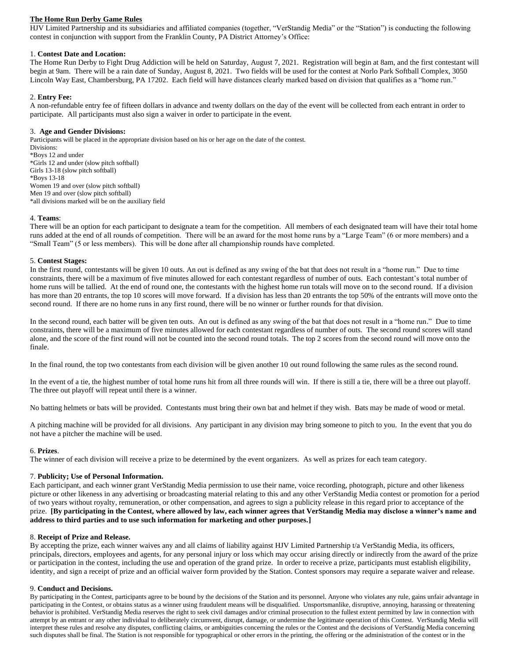# **The Home Run Derby Game Rules**

HJV Limited Partnership and its subsidiaries and affiliated companies (together, "VerStandig Media" or the "Station") is conducting the following contest in conjunction with support from the Franklin County, PA District Attorney's Office:

### 1. **Contest Date and Location:**

The Home Run Derby to Fight Drug Addiction will be held on Saturday, August 7, 2021. Registration will begin at 8am, and the first contestant will begin at 9am. There will be a rain date of Sunday, August 8, 2021. Two fields will be used for the contest at Norlo Park Softball Complex, 3050 Lincoln Way East, Chambersburg, PA 17202. Each field will have distances clearly marked based on division that qualifies as a "home run."

## 2. **Entry Fee:**

A non-refundable entry fee of fifteen dollars in advance and twenty dollars on the day of the event will be collected from each entrant in order to participate. All participants must also sign a waiver in order to participate in the event.

## 3. **Age and Gender Divisions:**

Participants will be placed in the appropriate division based on his or her age on the date of the contest. Divisions: \*Boys 12 and under \*Girls 12 and under (slow pitch softball) Girls 13-18 (slow pitch softball) \*Boys 13-18 Women 19 and over (slow pitch softball) Men 19 and over (slow pitch softball) \*all divisions marked will be on the auxiliary field

### 4. **Teams**:

There will be an option for each participant to designate a team for the competition. All members of each designated team will have their total home runs added at the end of all rounds of competition. There will be an award for the most home runs by a "Large Team" (6 or more members) and a "Small Team" (5 or less members). This will be done after all championship rounds have completed.

## 5. **Contest Stages:**

In the first round, contestants will be given 10 outs. An out is defined as any swing of the bat that does not result in a "home run." Due to time constraints, there will be a maximum of five minutes allowed for each contestant regardless of number of outs. Each contestant's total number of home runs will be tallied. At the end of round one, the contestants with the highest home run totals will move on to the second round. If a division has more than 20 entrants, the top 10 scores will move forward. If a division has less than 20 entrants the top 50% of the entrants will move onto the second round. If there are no home runs in any first round, there will be no winner or further rounds for that division.

In the second round, each batter will be given ten outs. An out is defined as any swing of the bat that does not result in a "home run." Due to time constraints, there will be a maximum of five minutes allowed for each contestant regardless of number of outs. The second round scores will stand alone, and the score of the first round will not be counted into the second round totals. The top 2 scores from the second round will move onto the finale.

In the final round, the top two contestants from each division will be given another 10 out round following the same rules as the second round.

In the event of a tie, the highest number of total home runs hit from all three rounds will win. If there is still a tie, there will be a three out playoff. The three out playoff will repeat until there is a winner.

No batting helmets or bats will be provided. Contestants must bring their own bat and helmet if they wish. Bats may be made of wood or metal.

A pitching machine will be provided for all divisions. Any participant in any division may bring someone to pitch to you. In the event that you do not have a pitcher the machine will be used.

### 6. **Prizes**.

The winner of each division will receive a prize to be determined by the event organizers. As well as prizes for each team category.

### 7. **Publicity; Use of Personal Information.**

Each participant, and each winner grant VerStandig Media permission to use their name, voice recording, photograph, picture and other likeness picture or other likeness in any advertising or broadcasting material relating to this and any other VerStandig Media contest or promotion for a period of two years without royalty, remuneration, or other compensation, and agrees to sign a publicity release in this regard prior to acceptance of the prize. **[By participating in the Contest, where allowed by law, each winner agrees that VerStandig Media may disclose a winner's name and address to third parties and to use such information for marketing and other purposes.]**

### 8. **Receipt of Prize and Release.**

By accepting the prize, each winner waives any and all claims of liability against HJV Limited Partnership t/a VerStandig Media, its officers, principals, directors, employees and agents, for any personal injury or loss which may occur arising directly or indirectly from the award of the prize or participation in the contest, including the use and operation of the grand prize. In order to receive a prize, participants must establish eligibility, identity, and sign a receipt of prize and an official waiver form provided by the Station. Contest sponsors may require a separate waiver and release.

### 9. **Conduct and Decisions.**

By participating in the Contest, participants agree to be bound by the decisions of the Station and its personnel. Anyone who violates any rule, gains unfair advantage in participating in the Contest, or obtains status as a winner using fraudulent means will be disqualified. Unsportsmanlike, disruptive, annoying, harassing or threatening behavior is prohibited. VerStandig Media reserves the right to seek civil damages and/or criminal prosecution to the fullest extent permitted by law in connection with attempt by an entrant or any other individual to deliberately circumvent, disrupt, damage, or undermine the legitimate operation of this Contest. VerStandig Media will interpret these rules and resolve any disputes, conflicting claims, or ambiguities concerning the rules or the Contest and the decisions of VerStandig Media concerning such disputes shall be final. The Station is not responsible for typographical or other errors in the printing, the offering or the administration of the contest or in the